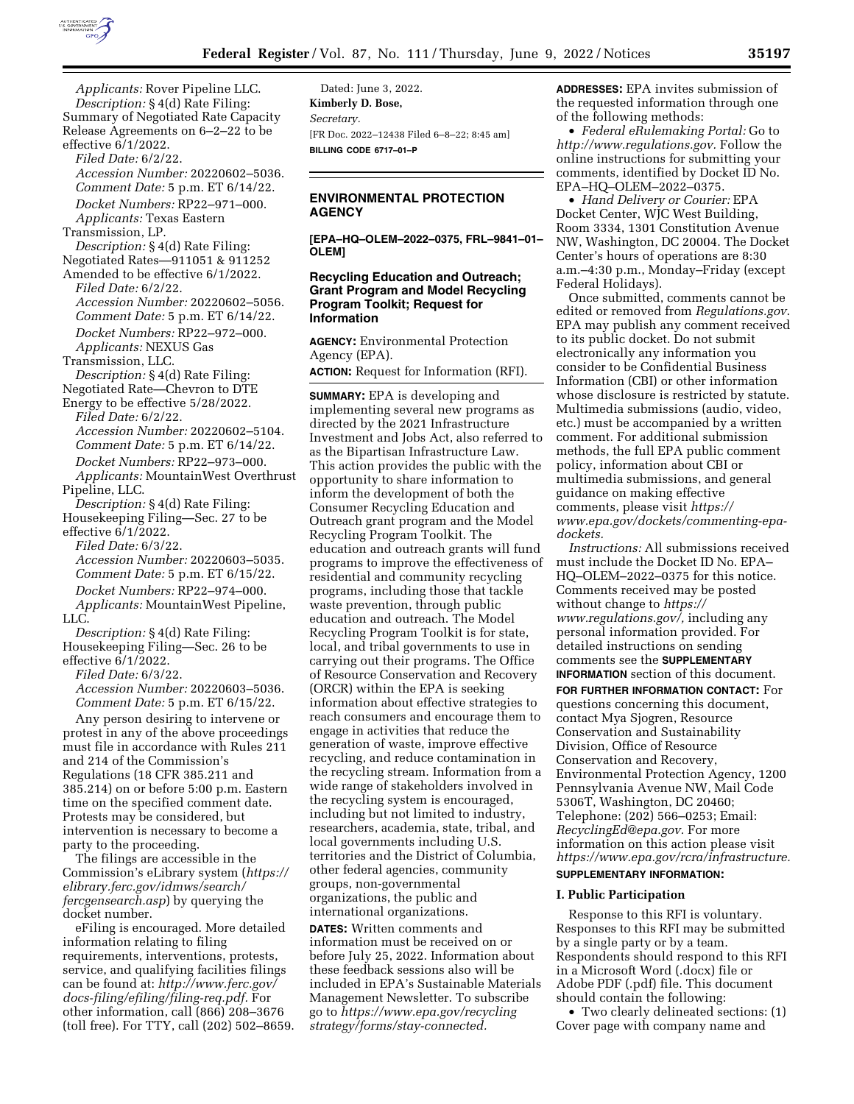

*Applicants:* Rover Pipeline LLC. *Description:* § 4(d) Rate Filing: Summary of Negotiated Rate Capacity Release Agreements on 6–2–22 to be effective 6/1/2022. *Filed Date:* 6/2/22. *Accession Number:* 20220602–5036. *Comment Date:* 5 p.m. ET 6/14/22. *Docket Numbers:* RP22–971–000. *Applicants:* Texas Eastern Transmission, LP. *Description:* § 4(d) Rate Filing: Negotiated Rates—911051 & 911252 Amended to be effective 6/1/2022. *Filed Date:* 6/2/22. *Accession Number:* 20220602–5056. *Comment Date:* 5 p.m. ET 6/14/22. *Docket Numbers:* RP22–972–000. *Applicants:* NEXUS Gas Transmission, LLC. *Description:* § 4(d) Rate Filing: Negotiated Rate—Chevron to DTE Energy to be effective 5/28/2022. *Filed Date:* 6/2/22. *Accession Number:* 20220602–5104. *Comment Date:* 5 p.m. ET 6/14/22. *Docket Numbers:* RP22–973–000. *Applicants:* MountainWest Overthrust Pipeline, LLC. *Description:* § 4(d) Rate Filing: Housekeeping Filing—Sec. 27 to be effective 6/1/2022. *Filed Date:* 6/3/22. *Accession Number:* 20220603–5035. *Comment Date:* 5 p.m. ET 6/15/22. *Docket Numbers:* RP22–974–000. *Applicants:* MountainWest Pipeline, LLC. *Description:* § 4(d) Rate Filing: Housekeeping Filing—Sec. 26 to be effective 6/1/2022. *Filed Date:* 6/3/22. *Accession Number:* 20220603–5036. *Comment Date:* 5 p.m. ET 6/15/22. Any person desiring to intervene or protest in any of the above proceedings must file in accordance with Rules 211 and 214 of the Commission's Regulations (18 CFR 385.211 and 385.214) on or before 5:00 p.m. Eastern time on the specified comment date. Protests may be considered, but intervention is necessary to become a

party to the proceeding. The filings are accessible in the Commission's eLibrary system (*[https://](https://elibrary.ferc.gov/idmws/search/fercgensearch.asp) [elibrary.ferc.gov/idmws/search/](https://elibrary.ferc.gov/idmws/search/fercgensearch.asp) [fercgensearch.asp](https://elibrary.ferc.gov/idmws/search/fercgensearch.asp)*) by querying the docket number.

eFiling is encouraged. More detailed information relating to filing requirements, interventions, protests, service, and qualifying facilities filings can be found at: *[http://www.ferc.gov/](http://www.ferc.gov/docs-filing/efiling/filing-req.pdf)  [docs-filing/efiling/filing-req.pdf.](http://www.ferc.gov/docs-filing/efiling/filing-req.pdf)* For other information, call (866) 208–3676 (toll free). For TTY, call (202) 502–8659.

Dated: June 3, 2022. **Kimberly D. Bose,**  *Secretary.*  [FR Doc. 2022–12438 Filed 6–8–22; 8:45 am] **BILLING CODE 6717–01–P** 

## **ENVIRONMENTAL PROTECTION AGENCY**

**[EPA–HQ–OLEM–2022–0375, FRL–9841–01– OLEM]** 

## **Recycling Education and Outreach; Grant Program and Model Recycling Program Toolkit; Request for Information**

**AGENCY:** Environmental Protection Agency (EPA).

**ACTION:** Request for Information (RFI).

**SUMMARY:** EPA is developing and implementing several new programs as directed by the 2021 Infrastructure Investment and Jobs Act, also referred to as the Bipartisan Infrastructure Law. This action provides the public with the opportunity to share information to inform the development of both the Consumer Recycling Education and Outreach grant program and the Model Recycling Program Toolkit. The education and outreach grants will fund programs to improve the effectiveness of residential and community recycling programs, including those that tackle waste prevention, through public education and outreach. The Model Recycling Program Toolkit is for state, local, and tribal governments to use in carrying out their programs. The Office of Resource Conservation and Recovery (ORCR) within the EPA is seeking information about effective strategies to reach consumers and encourage them to engage in activities that reduce the generation of waste, improve effective recycling, and reduce contamination in the recycling stream. Information from a wide range of stakeholders involved in the recycling system is encouraged, including but not limited to industry, researchers, academia, state, tribal, and local governments including U.S. territories and the District of Columbia, other federal agencies, community groups, non-governmental organizations, the public and international organizations.

**DATES:** Written comments and information must be received on or before July 25, 2022. Information about these feedback sessions also will be included in EPA's Sustainable Materials Management Newsletter. To subscribe go to *[https://www.epa.gov/recycling](https://www.epa.gov/recyclingstrategy/forms/stay-connected) [strategy/forms/stay-connected.](https://www.epa.gov/recyclingstrategy/forms/stay-connected)* 

**ADDRESSES:** EPA invites submission of the requested information through one of the following methods:

• *Federal eRulemaking Portal:* Go to *[http://www.regulations.gov.](http://www.regulations.gov)* Follow the online instructions for submitting your comments, identified by Docket ID No. EPA–HQ–OLEM–2022–0375.

• *Hand Delivery or Courier:* EPA Docket Center, WJC West Building, Room 3334, 1301 Constitution Avenue NW, Washington, DC 20004. The Docket Center's hours of operations are 8:30 a.m.–4:30 p.m., Monday–Friday (except Federal Holidays).

Once submitted, comments cannot be edited or removed from *Regulations.gov*. EPA may publish any comment received to its public docket. Do not submit electronically any information you consider to be Confidential Business Information (CBI) or other information whose disclosure is restricted by statute. Multimedia submissions (audio, video, etc.) must be accompanied by a written comment. For additional submission methods, the full EPA public comment policy, information about CBI or multimedia submissions, and general guidance on making effective comments, please visit *[https://](https://www.epa.gov/dockets/commenting-epa-dockets) [www.epa.gov/dockets/commenting-epa](https://www.epa.gov/dockets/commenting-epa-dockets)[dockets.](https://www.epa.gov/dockets/commenting-epa-dockets)* 

*Instructions:* All submissions received must include the Docket ID No. EPA– HQ–OLEM–2022–0375 for this notice. Comments received may be posted without change to *[https://](https://www.regulations.gov/) [www.regulations.gov/,](https://www.regulations.gov/)* including any personal information provided. For detailed instructions on sending comments see the **SUPPLEMENTARY INFORMATION** section of this document. **FOR FURTHER INFORMATION CONTACT:** For

questions concerning this document, contact Mya Sjogren, Resource Conservation and Sustainability Division, Office of Resource Conservation and Recovery, Environmental Protection Agency, 1200 Pennsylvania Avenue NW, Mail Code 5306T, Washington, DC 20460; Telephone: (202) 566–0253; Email: *[RecyclingEd@epa.gov.](mailto:RecyclingEd@epa.gov)* For more information on this action please visit *[https://www.epa.gov/rcra/infrastructure.](https://www.epa.gov/rcra/infrastructure)* 

# **SUPPLEMENTARY INFORMATION:**

## **I. Public Participation**

Response to this RFI is voluntary. Responses to this RFI may be submitted by a single party or by a team. Respondents should respond to this RFI in a Microsoft Word (.docx) file or Adobe PDF (.pdf) file. This document should contain the following:

• Two clearly delineated sections: (1) Cover page with company name and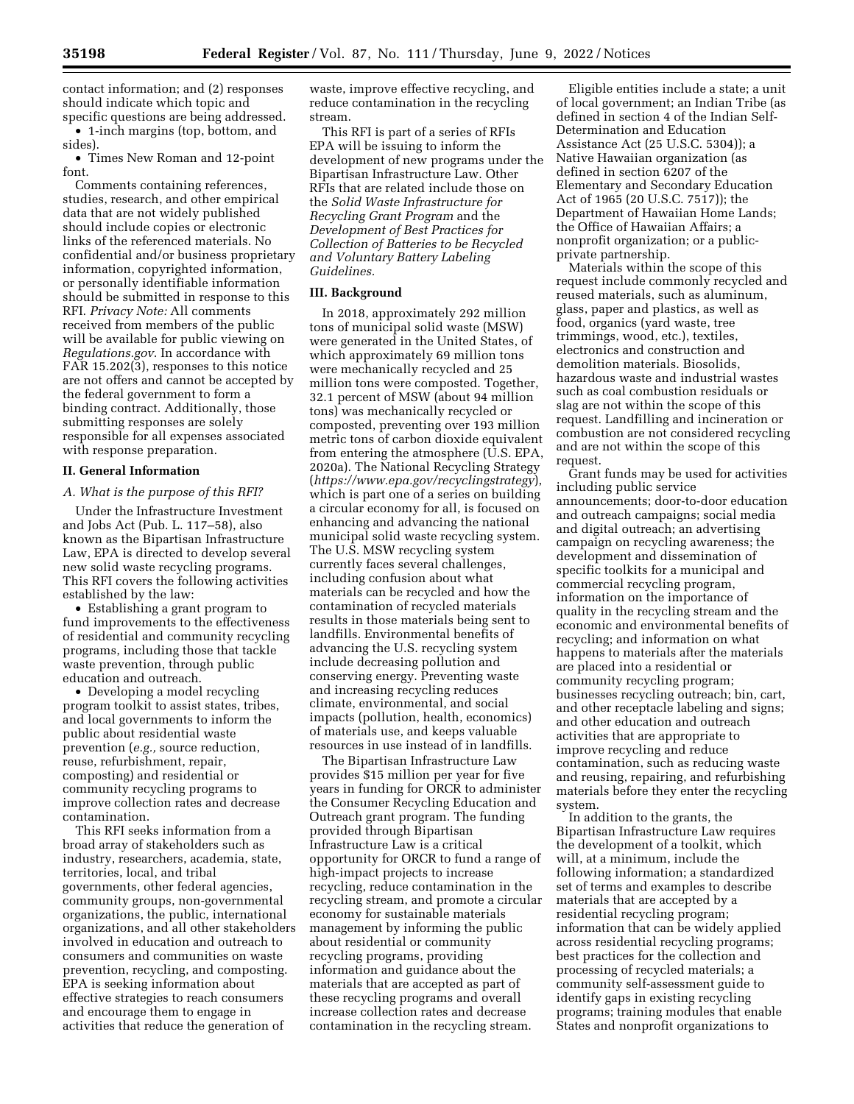contact information; and (2) responses should indicate which topic and specific questions are being addressed.

• 1-inch margins (top, bottom, and sides).

• Times New Roman and 12-point font.

Comments containing references, studies, research, and other empirical data that are not widely published should include copies or electronic links of the referenced materials. No confidential and/or business proprietary information, copyrighted information, or personally identifiable information should be submitted in response to this RFI. *Privacy Note:* All comments received from members of the public will be available for public viewing on *Regulations.gov*. In accordance with FAR 15.202(3), responses to this notice are not offers and cannot be accepted by the federal government to form a binding contract. Additionally, those submitting responses are solely responsible for all expenses associated with response preparation.

#### **II. General Information**

### *A. What is the purpose of this RFI?*

Under the Infrastructure Investment and Jobs Act (Pub. L. 117–58), also known as the Bipartisan Infrastructure Law, EPA is directed to develop several new solid waste recycling programs. This RFI covers the following activities established by the law:

• Establishing a grant program to fund improvements to the effectiveness of residential and community recycling programs, including those that tackle waste prevention, through public education and outreach.

• Developing a model recycling program toolkit to assist states, tribes, and local governments to inform the public about residential waste prevention (*e.g.,* source reduction, reuse, refurbishment, repair, composting) and residential or community recycling programs to improve collection rates and decrease contamination.

This RFI seeks information from a broad array of stakeholders such as industry, researchers, academia, state, territories, local, and tribal governments, other federal agencies, community groups, non-governmental organizations, the public, international organizations, and all other stakeholders involved in education and outreach to consumers and communities on waste prevention, recycling, and composting. EPA is seeking information about effective strategies to reach consumers and encourage them to engage in activities that reduce the generation of

waste, improve effective recycling, and reduce contamination in the recycling stream.

This RFI is part of a series of RFIs EPA will be issuing to inform the development of new programs under the Bipartisan Infrastructure Law. Other RFIs that are related include those on the *Solid Waste Infrastructure for Recycling Grant Program* and the *Development of Best Practices for Collection of Batteries to be Recycled and Voluntary Battery Labeling Guidelines.* 

#### **III. Background**

In 2018, approximately 292 million tons of municipal solid waste (MSW) were generated in the United States, of which approximately 69 million tons were mechanically recycled and 25 million tons were composted. Together, 32.1 percent of MSW (about 94 million tons) was mechanically recycled or composted, preventing over 193 million metric tons of carbon dioxide equivalent from entering the atmosphere (U.S. EPA, 2020a). The National Recycling Strategy (*<https://www.epa.gov/recyclingstrategy>*), which is part one of a series on building a circular economy for all, is focused on enhancing and advancing the national municipal solid waste recycling system. The U.S. MSW recycling system currently faces several challenges, including confusion about what materials can be recycled and how the contamination of recycled materials results in those materials being sent to landfills. Environmental benefits of advancing the U.S. recycling system include decreasing pollution and conserving energy. Preventing waste and increasing recycling reduces climate, environmental, and social impacts (pollution, health, economics) of materials use, and keeps valuable resources in use instead of in landfills.

The Bipartisan Infrastructure Law provides \$15 million per year for five years in funding for ORCR to administer the Consumer Recycling Education and Outreach grant program. The funding provided through Bipartisan Infrastructure Law is a critical opportunity for ORCR to fund a range of high-impact projects to increase recycling, reduce contamination in the recycling stream, and promote a circular economy for sustainable materials management by informing the public about residential or community recycling programs, providing information and guidance about the materials that are accepted as part of these recycling programs and overall increase collection rates and decrease contamination in the recycling stream.

Eligible entities include a state; a unit of local government; an Indian Tribe (as defined in section 4 of the Indian Self-Determination and Education Assistance Act (25 U.S.C. 5304)); a Native Hawaiian organization (as defined in section 6207 of the Elementary and Secondary Education Act of 1965 (20 U.S.C. 7517)); the Department of Hawaiian Home Lands; the Office of Hawaiian Affairs; a nonprofit organization; or a publicprivate partnership.

Materials within the scope of this request include commonly recycled and reused materials, such as aluminum, glass, paper and plastics, as well as food, organics (yard waste, tree trimmings, wood, etc.), textiles, electronics and construction and demolition materials. Biosolids, hazardous waste and industrial wastes such as coal combustion residuals or slag are not within the scope of this request. Landfilling and incineration or combustion are not considered recycling and are not within the scope of this request.

Grant funds may be used for activities including public service announcements; door-to-door education and outreach campaigns; social media and digital outreach; an advertising campaign on recycling awareness; the development and dissemination of specific toolkits for a municipal and commercial recycling program, information on the importance of quality in the recycling stream and the economic and environmental benefits of recycling; and information on what happens to materials after the materials are placed into a residential or community recycling program; businesses recycling outreach; bin, cart, and other receptacle labeling and signs; and other education and outreach activities that are appropriate to improve recycling and reduce contamination, such as reducing waste and reusing, repairing, and refurbishing materials before they enter the recycling system.

In addition to the grants, the Bipartisan Infrastructure Law requires the development of a toolkit, which will, at a minimum, include the following information; a standardized set of terms and examples to describe materials that are accepted by a residential recycling program; information that can be widely applied across residential recycling programs; best practices for the collection and processing of recycled materials; a community self-assessment guide to identify gaps in existing recycling programs; training modules that enable States and nonprofit organizations to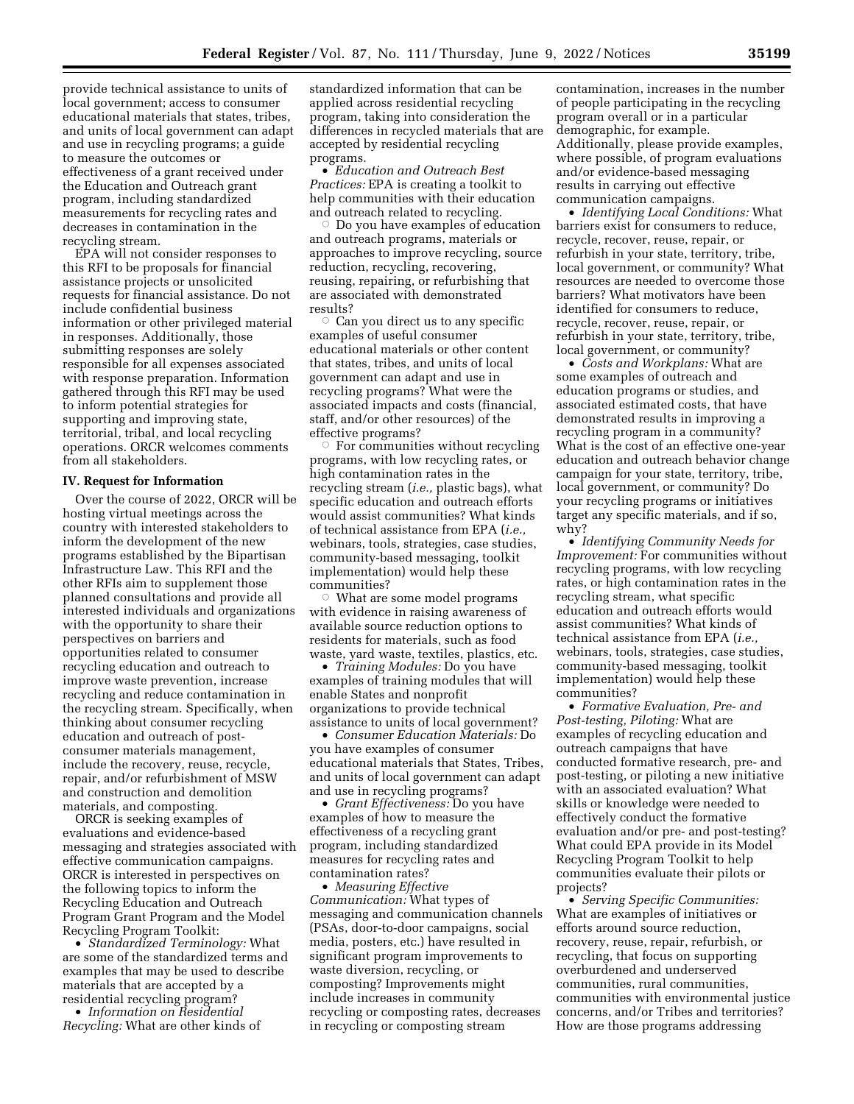provide technical assistance to units of local government; access to consumer educational materials that states, tribes, and units of local government can adapt and use in recycling programs; a guide to measure the outcomes or effectiveness of a grant received under the Education and Outreach grant program, including standardized measurements for recycling rates and decreases in contamination in the recycling stream.

EPA will not consider responses to this RFI to be proposals for financial assistance projects or unsolicited requests for financial assistance. Do not include confidential business information or other privileged material in responses. Additionally, those submitting responses are solely responsible for all expenses associated with response preparation. Information gathered through this RFI may be used to inform potential strategies for supporting and improving state, territorial, tribal, and local recycling operations. ORCR welcomes comments from all stakeholders.

### **IV. Request for Information**

Over the course of 2022, ORCR will be hosting virtual meetings across the country with interested stakeholders to inform the development of the new programs established by the Bipartisan Infrastructure Law. This RFI and the other RFIs aim to supplement those planned consultations and provide all interested individuals and organizations with the opportunity to share their perspectives on barriers and opportunities related to consumer recycling education and outreach to improve waste prevention, increase recycling and reduce contamination in the recycling stream. Specifically, when thinking about consumer recycling education and outreach of postconsumer materials management, include the recovery, reuse, recycle, repair, and/or refurbishment of MSW and construction and demolition materials, and composting.

ORCR is seeking examples of evaluations and evidence-based messaging and strategies associated with effective communication campaigns. ORCR is interested in perspectives on the following topics to inform the Recycling Education and Outreach Program Grant Program and the Model Recycling Program Toolkit:

• *Standardized Terminology:* What are some of the standardized terms and examples that may be used to describe materials that are accepted by a residential recycling program?

• *Information on Residential Recycling:* What are other kinds of

standardized information that can be applied across residential recycling program, taking into consideration the differences in recycled materials that are accepted by residential recycling programs.

• *Education and Outreach Best Practices:* EPA is creating a toolkit to help communities with their education and outreach related to recycling.

 $\circ$  Do you have examples of education and outreach programs, materials or approaches to improve recycling, source reduction, recycling, recovering, reusing, repairing, or refurbishing that are associated with demonstrated results?

 $\circ$  Can you direct us to any specific examples of useful consumer educational materials or other content that states, tribes, and units of local government can adapt and use in recycling programs? What were the associated impacts and costs (financial, staff, and/or other resources) of the effective programs?

 $\circ$  For communities without recycling programs, with low recycling rates, or high contamination rates in the recycling stream (*i.e.,* plastic bags), what specific education and outreach efforts would assist communities? What kinds of technical assistance from EPA (*i.e.,*  webinars, tools, strategies, case studies, community-based messaging, toolkit implementation) would help these communities?

 $\circ$  What are some model programs with evidence in raising awareness of available source reduction options to residents for materials, such as food waste, yard waste, textiles, plastics, etc.

• *Training Modules:* Do you have examples of training modules that will enable States and nonprofit organizations to provide technical assistance to units of local government?

• *Consumer Education Materials:* Do you have examples of consumer educational materials that States, Tribes, and units of local government can adapt and use in recycling programs?

• *Grant Effectiveness:* Do you have examples of how to measure the effectiveness of a recycling grant program, including standardized measures for recycling rates and contamination rates?

• *Measuring Effective Communication:* What types of messaging and communication channels (PSAs, door-to-door campaigns, social media, posters, etc.) have resulted in significant program improvements to waste diversion, recycling, or composting? Improvements might include increases in community recycling or composting rates, decreases in recycling or composting stream

contamination, increases in the number of people participating in the recycling program overall or in a particular demographic, for example. Additionally, please provide examples, where possible, of program evaluations and/or evidence-based messaging results in carrying out effective communication campaigns.

• *Identifying Local Conditions:* What barriers exist for consumers to reduce, recycle, recover, reuse, repair, or refurbish in your state, territory, tribe, local government, or community? What resources are needed to overcome those barriers? What motivators have been identified for consumers to reduce, recycle, recover, reuse, repair, or refurbish in your state, territory, tribe, local government, or community?

• *Costs and Workplans:* What are some examples of outreach and education programs or studies, and associated estimated costs, that have demonstrated results in improving a recycling program in a community? What is the cost of an effective one-year education and outreach behavior change campaign for your state, territory, tribe, local government, or community? Do your recycling programs or initiatives target any specific materials, and if so, why?

• *Identifying Community Needs for Improvement:* For communities without recycling programs, with low recycling rates, or high contamination rates in the recycling stream, what specific education and outreach efforts would assist communities? What kinds of technical assistance from EPA (*i.e.,*  webinars, tools, strategies, case studies, community-based messaging, toolkit implementation) would help these communities?

• *Formative Evaluation, Pre- and Post-testing, Piloting:* What are examples of recycling education and outreach campaigns that have conducted formative research, pre- and post-testing, or piloting a new initiative with an associated evaluation? What skills or knowledge were needed to effectively conduct the formative evaluation and/or pre- and post-testing? What could EPA provide in its Model Recycling Program Toolkit to help communities evaluate their pilots or projects?

• *Serving Specific Communities:*  What are examples of initiatives or efforts around source reduction, recovery, reuse, repair, refurbish, or recycling, that focus on supporting overburdened and underserved communities, rural communities, communities with environmental justice concerns, and/or Tribes and territories? How are those programs addressing